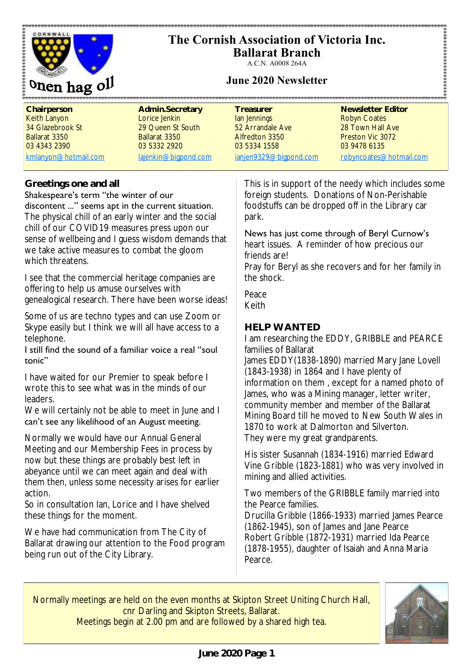



**Ballarat Branch** A.C.N. A0008 264A

### **June 2020 Newsletter**

| Chairperson          | Admin.Secretary      | Treasurer              | Newsletter Editor       |
|----------------------|----------------------|------------------------|-------------------------|
| Keith Lanyon         | Lorice Jenkin        | lan Jennings           | <b>Robyn Coates</b>     |
| 34 Glazebrook St     | 29 Queen St South    | 52 Arrandale Ave       | 28 Town Hall Ave        |
| Ballarat 3350        | Ballarat 3350        | Alfredton 3350         | Preston Vic 3072        |
| 03 4343 2390         | 03 5332 2920         | 03 5334 1558           | 03 9478 6135            |
| kmlanyon@hotmail.com | lajenkin@bigpond.com | ianjen9329@bigpond.com | robyncoates@hotmail.com |

#### **Greetings one and all**

#### Shakespeare's term "the winter of our discontent ..." seems apt in the current situation.

The physical chill of an early winter and the social chill of our COVID19 measures press upon our sense of wellbeing and I guess wisdom demands that we take active measures to combat the gloom which threatens.

I see that the commercial heritage companies are offering to help us amuse ourselves with genealogical research. There have been worse ideas!

Some of us are techno types and can use Zoom or Skype easily but I think we will all have access to a telephone.

#### I still find the sound of a familiar voice a real "soul tonic"

I have waited for our Premier to speak before I wrote this to see what was in the minds of our leaders.

We will certainly not be able to meet in June and I can't see any likelihood of an August meeting.

Normally we would have our Annual General Meeting and our Membership Fees in process by now but these things are probably best left in abeyance until we can meet again and deal with them then, unless some necessity arises for earlier action.

So in consultation Ian, Lorice and I have shelved these things for the moment.

We have had communication from The City of Ballarat drawing our attention to the Food program being run out of the City Library.

This is in support of the needy which includes some foreign students. Donations of Non-Perishable foodstuffs can be dropped off in the Library car park.

.......................

#### News has just come through of Beryl Curnow's

heart issues. A reminder of how precious our friends are!

Pray for Beryl as she recovers and for her family in the shock.

Peace Keith

### **HELP WANTED**

I am researching the EDDY, GRIBBLE and PEARCE families of Ballarat

James EDDY(1838-1890) married Mary Jane Lovell (1843-1938) in 1864 and I have plenty of information on them , except for a named photo of James, who was a Mining manager, letter writer, community member and member of the Ballarat Mining Board till he moved to New South Wales in 1870 to work at Dalmorton and Silverton. They were my great grandparents.

His sister Susannah (1834-1916) married Edward Vine Gribble (1823-1881) who was very involved in mining and allied activities.

Two members of the GRIBBLE family married into the Pearce families.

Drucilla Gribble (1866-1933) married James Pearce (1862-1945), son of James and Jane Pearce Robert Gribble (1872-1931) married Ida Pearce (1878-1955), daughter of Isaiah and Anna Maria Pearce.

Normally meetings are held on the even months at Skipton Street Uniting Church Hall, cnr Darling and Skipton Streets, Ballarat. Meetings begin at 2.00 pm and are followed by a shared high tea.

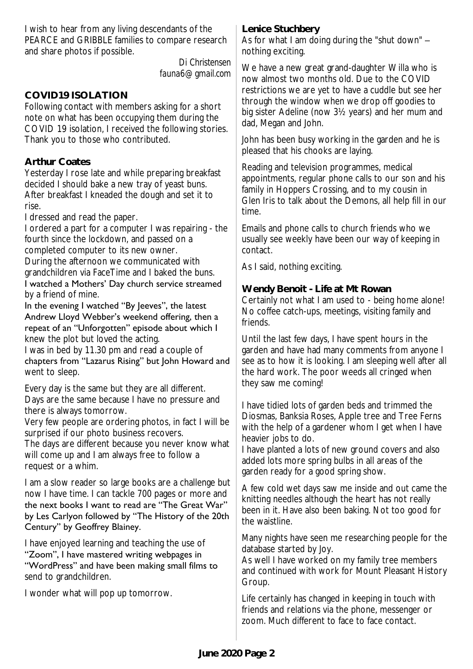I wish to hear from any living descendants of the PEARCE and GRIBBLE families to compare research and share photos if possible.

> *Di Christensen fauna6@gmail.com*

## **COVID19 ISOLATION**

Following contact with members asking for a short note on what has been occupying them during the COVID 19 isolation, I received the following stories. Thank you to those who contributed.

### **Arthur Coates**

Yesterday I rose late and while preparing breakfast decided I should bake a new tray of yeast buns. After breakfast I kneaded the dough and set it to rise.

I dressed and read the paper.

I ordered a part for a computer I was repairing - the fourth since the lockdown, and passed on a completed computer to its new owner. During the afternoon we communicated with

grandchildren via FaceTime and I baked the buns.

I watched a Mothers' Day church service streamed by a friend of mine.

In the evening I watched "By Jeeves", the latest Andrew Lloyd Webber's weekend offering, then a repeat of an "Unforgotten" episode about which I knew the plot but loved the acting.

I was in bed by 11.30 pm and read a couple of chapters from "Lazarus Rising" but John Howard and went to sleep.

Every day is the same but they are all different. Days are the same because I have no pressure and there is always tomorrow.

Very few people are ordering photos, in fact I will be surprised if our photo business recovers.

The days are different because you never know what will come up and I am always free to follow a request or a whim.

I am a slow reader so large books are a challenge but now I have time. I can tackle 700 pages or more and the next books I want to read are "The Great War" by Les Carlyon followed by "The History of the 20th Century" by Geoffrey Blainey.

I have enjoyed learning and teaching the use of "Zoom", I have mastered writing webpages in "WordPress" and have been making small films to send to grandchildren.

I wonder what will pop up tomorrow.

**Lenice Stuchbery** As for what I am doing during the "shut down" – nothing exciting.

We have a new great grand-daughter Willa who is now almost two months old. Due to the COVID restrictions we are yet to have a cuddle but see her through the window when we drop off goodies to big sister Adeline (now 3½ years) and her mum and dad, Megan and John.

John has been busy working in the garden and he is pleased that his chooks are laying.

Reading and television programmes, medical appointments, regular phone calls to our son and his family in Hoppers Crossing, and to my cousin in Glen Iris to talk about the Demons, all help fill in our time.

Emails and phone calls to church friends who we usually see weekly have been our way of keeping in contact.

As I said, nothing exciting.

**Wendy Benoit - Life at Mt Rowan** Certainly not what I am used to - being home alone! No coffee catch-ups, meetings, visiting family and friends.

Until the last few days, I have spent hours in the garden and have had many comments from anyone I see as to how it is looking. I am sleeping well after all the hard work. The poor weeds all cringed when they saw me coming!

I have tidied lots of garden beds and trimmed the Diosmas, Banksia Roses, Apple tree and Tree Ferns with the help of a gardener whom I get when I have heavier jobs to do.

I have planted a lots of new ground covers and also added lots more spring bulbs in all areas of the garden ready for a good spring show.

A few cold wet days saw me inside and out came the knitting needles although the heart has not really been in it. Have also been baking. Not too good for the waistline.

Many nights have seen me researching people for the database started by Joy.

As well I have worked on my family tree members and continued with work for Mount Pleasant History Group.

Life certainly has changed in keeping in touch with friends and relations via the phone, messenger or zoom. Much different to face to face contact.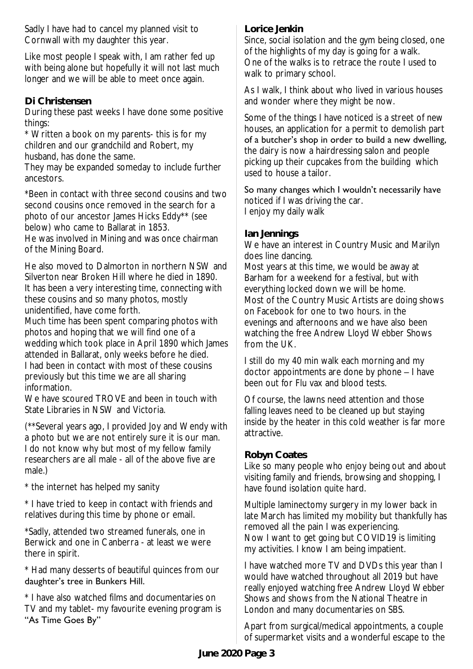Sadly I have had to cancel my planned visit to Cornwall with my daughter this year.

Like most people I speak with, I am rather fed up with being alone but hopefully it will not last much longer and we will be able to meet once again.

### **Di Christensen**

During these past weeks I have done some positive things:

\* Written a book on my parents- this is for my children and our grandchild and Robert, my husband, has done the same.

They may be expanded someday to include further ancestors.

\*Been in contact with three second cousins and two second cousins once removed in the search for a photo of our ancestor James Hicks Eddy\*\* (see below) who came to Ballarat in 1853.

He was involved in Mining and was once chairman of the Mining Board.

He also moved to Dalmorton in northern NSW and Silverton near Broken Hill where he died in 1890. It has been a very interesting time, connecting with these cousins and so many photos, mostly unidentified, have come forth.

Much time has been spent comparing photos with photos and hoping that we will find one of a wedding which took place in April 1890 which James attended in Ballarat, only weeks before he died. I had been in contact with most of these cousins previously but this time we are all sharing information.

We have scoured TROVE and been in touch with State Libraries in NSW and Victoria.

(\*\*Several years ago, I provided Joy and Wendy with a photo but we are not entirely sure it is our man. I do not know why but most of my fellow family researchers are all male - all of the above five are male.)

\* the internet has helped my sanity

\* I have tried to keep in contact with friends and relatives during this time by phone or email.

\*Sadly, attended two streamed funerals, one in Berwick and one in Canberra - at least we were there in spirit.

\* Had many desserts of beautiful quinces from our daughter's tree in Bunkers Hill.

\* I have also watched films and documentaries on TV and my tablet- my favourite evening program is "As Time Goes By"

#### **Lorice Jenkin**

Since, social isolation and the gym being closed, one of the highlights of my day is going for a walk. One of the walks is to retrace the route I used to walk to primary school.

As I walk, I think about who lived in various houses and wonder where they might be now.

Some of the things I have noticed is a street of new houses, an application for a permit to demolish part of a butcher's shop in order to build a new dwelling, the dairy is now a hairdressing salon and people picking up their cupcakes from the building which used to house a tailor.

So many changes which I wouldn't necessarily have noticed if I was driving the car. I enjoy my daily walk

#### **Ian Jennings**

We have an interest in Country Music and Marilyn does line dancing.

Most years at this time, we would be away at Barham for a weekend for a festival, but with everything locked down we will be home. Most of the Country Music Artists are doing shows on Facebook for one to two hours. in the evenings and afternoons and we have also been watching the free Andrew Lloyd Webber Shows from the UK.

I still do my 40 min walk each morning and my doctor appointments are done by phone – I have been out for Flu vax and blood tests.

Of course, the lawns need attention and those falling leaves need to be cleaned up but staying inside by the heater in this cold weather is far more attractive.

### **Robyn Coates**

Like so many people who enjoy being out and about visiting family and friends, browsing and shopping, I have found isolation quite hard.

Multiple laminectomy surgery in my lower back in late March has limited my mobility but thankfully has removed all the pain I was experiencing. Now I want to get going but COVID19 is limiting my activities. I know I am being impatient.

I have watched more TV and DVDs this year than I would have watched throughout all 2019 but have really enjoyed watching free Andrew Lloyd Webber Shows and shows from the National Theatre in London and many documentaries on SBS.

Apart from surgical/medical appointments, a couple of supermarket visits and a wonderful escape to the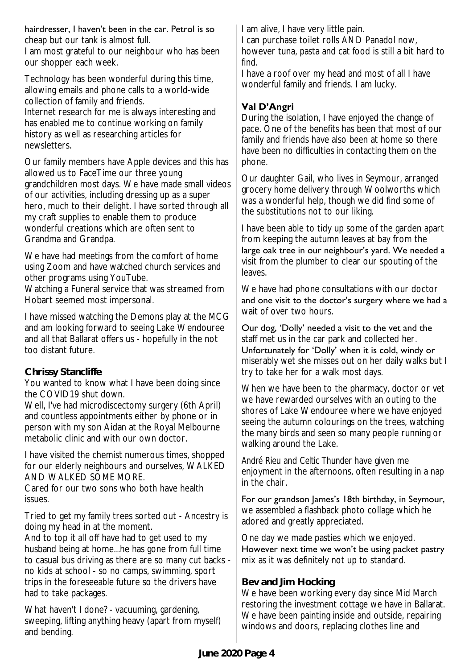### hairdresser, I haven't been in the car. Petrol is so

cheap but our tank is almost full. I am most grateful to our neighbour who has been our shopper each week.

Technology has been wonderful during this time, allowing emails and phone calls to a world-wide collection of family and friends. Internet research for me is always interesting and has enabled me to continue working on family history as well as researching articles for newsletters.

Our family members have Apple devices and this has allowed us to FaceTime our three young grandchildren most days. We have made small videos of our activities, including dressing up as a super hero, much to their delight. I have sorted through all my craft supplies to enable them to produce wonderful creations which are often sent to Grandma and Grandpa.

We have had meetings from the comfort of home using Zoom and have watched church services and other programs using YouTube.

Watching a Funeral service that was streamed from Hobart seemed most impersonal.

I have missed watching the Demons play at the MCG and am looking forward to seeing Lake Wendouree and all that Ballarat offers us - hopefully in the not too distant future.

### **Chrissy Stancliffe**

You wanted to know what I have been doing since the COVID19 shut down.

Well, I've had microdiscectomy surgery (6th April) and countless appointments either by phone or in person with my son Aidan at the Royal Melbourne metabolic clinic and with our own doctor.

I have visited the chemist numerous times, shopped for our elderly neighbours and ourselves, WALKED AND WALKED SOME MORE.

Cared for our two sons who both have health issues.

Tried to get my family trees sorted out - Ancestry is doing my head in at the moment.

And to top it all off have had to get used to my husband being at home...he has gone from full time to casual bus driving as there are so many cut backs no kids at school - so no camps, swimming, sport trips in the foreseeable future so the drivers have had to take packages.

What haven't I done? - vacuuming, gardening, sweeping, lifting anything heavy (apart from myself) and bending.

I am alive, I have very little pain.

I can purchase toilet rolls AND Panadol now, however tuna, pasta and cat food is still a bit hard to find.

I have a roof over my head and most of all I have wonderful family and friends. I am lucky.

### **Val D'Angri**

During the isolation, I have enjoyed the change of pace. One of the benefits has been that most of our family and friends have also been at home so there have been no difficulties in contacting them on the phone.

Our daughter Gail, who lives in Seymour, arranged grocery home delivery through Woolworths which was a wonderful help, though we did find some of the substitutions not to our liking.

I have been able to tidy up some of the garden apart from keeping the autumn leaves at bay from the large oak tree in our neighbour's yard. We needed a visit from the plumber to clear our spouting of the leaves.

We have had phone consultations with our doctor and one visit to the doctor's surgery where we had a wait of over two hours.

Our dog, 'Dolly' needed a visit to the vet and the staff met us in the car park and collected her. Unfortunately for 'Dolly' when it is cold, windy or miserably wet she misses out on her daily walks but I try to take her for a walk most days.

When we have been to the pharmacy, doctor or vet we have rewarded ourselves with an outing to the shores of Lake Wendouree where we have enjoyed seeing the autumn colourings on the trees, watching the many birds and seen so many people running or walking around the Lake.

*André Rieu* and *Celtic Thunder* have given me enjoyment in the afternoons, often resulting in a nap in the chair.

For our grandson James's 18th birthday, in Seymour, we assembled a flashback photo collage which he adored and greatly appreciated.

One day we made pasties which we enjoyed. However next time we won't be using packet pastry mix as it was definitely not up to standard.

### **Bev and Jim Hocking**

We have been working every day since Mid March restoring the investment cottage we have in Ballarat. We have been painting inside and outside, repairing windows and doors, replacing clothes line and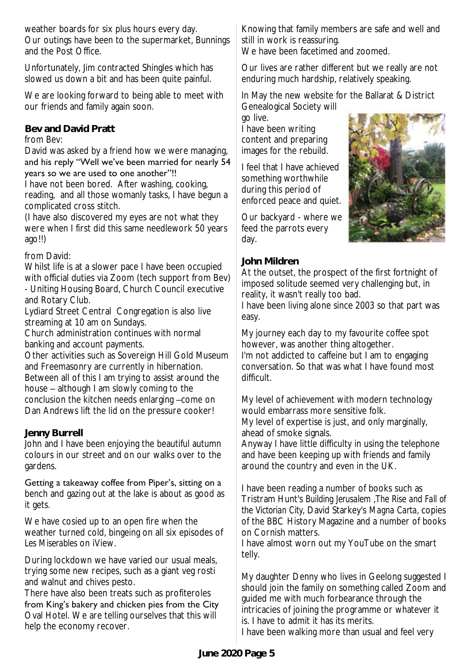weather boards for six plus hours every day. Our outings have been to the supermarket, Bunnings and the Post Office.

Unfortunately, Jim contracted Shingles which has slowed us down a bit and has been quite painful.

We are looking forward to being able to meet with our friends and family again soon.

**Bev and David Pratt**

from Bev:

David was asked by a friend how we were managing, and his reply "Well we've been married for nearly 54 years so we are used to one another"!!

I have not been bored. After washing, cooking, reading, and all those womanly tasks, I have begun a complicated cross stitch.

(I have also discovered my eyes are not what they were when I first did this same needlework 50 years ago!!)

### from David:

Whilst life is at a slower pace I have been occupied with official duties via Zoom (tech support from Bev) - Uniting Housing Board, Church Council executive and Rotary Club.

Lydiard Street Central Congregation is also live streaming at 10 am on Sundays.

Church administration continues with normal banking and account payments.

Other activities such as Sovereign Hill Gold Museum and Freemasonry are currently in hibernation. Between all of this I am trying to assist around the house – although I am slowly coming to the conclusion the kitchen needs enlarging –come on Dan Andrews lift the lid on the pressure cooker!

# **Jenny Burrell**

John and I have been enjoying the beautiful autumn colours in our street and on our walks over to the gardens.

### Getting a takeaway coffee from Piper's, sitting on a

bench and gazing out at the lake is about as good as it gets.

We have cosied up to an open fire when the weather turned cold, bingeing on all six episodes of *Les Miserables* on iView.

During lockdown we have varied our usual meals, trying some new recipes, such as a giant veg rosti and walnut and chives pesto.

There have also been treats such as profiteroles from King's bakery and chicken pies from the City Oval Hotel. We are telling ourselves that this will help the economy recover.

Knowing that family members are safe and well and still in work is reassuring.

We have been facetimed and zoomed.

Our lives are rather different but we really are not enduring much hardship, relatively speaking.

In May the new website for the Ballarat & District Genealogical Society will

go live. I have been writing content and preparing images for the rebuild.

I feel that I have achieved something worthwhile during this period of enforced peace and quiet.

Our backyard - where we feed the parrots every day.

# **John Mildren**

At the outset, the prospect of the first fortnight of imposed solitude seemed very challenging but, in reality, it wasn't really too bad.

I have been living alone since 2003 so that part was easy.

My journey each day to my favourite coffee spot however, was another thing altogether. I'm not addicted to caffeine but I am to engaging conversation. So that was what I have found most difficult.

My level of achievement with modern technology would embarrass more sensitive folk. My level of expertise is just, and only marginally, ahead of smoke signals.

Anyway I have little difficulty in using the telephone and have been keeping up with friends and family around the country and even in the UK.

I have been reading a number of books such as Tristram Hunt's *Building Jerusalem* ,*The Rise and Fall of the Victorian City*, David Starkey's *Magna Carta,* copies of the BBC History Magazine and a number of books on Cornish matters.

I have almost worn out my YouTube on the smart telly.

My daughter Denny who lives in Geelong suggested I should join the family on something called Zoom and guided me with much forbearance through the intricacies of joining the programme or whatever it is. I have to admit it has its merits. I have been walking more than usual and feel very

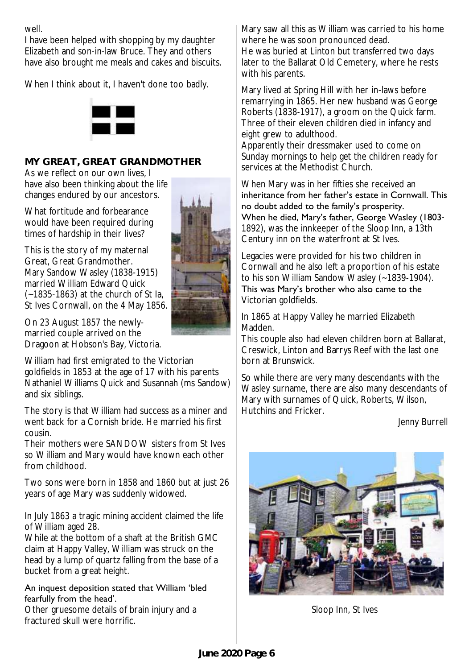well.

I have been helped with shopping by my daughter Elizabeth and son-in-law Bruce. They and others have also brought me meals and cakes and biscuits.

When I think about it, I haven't done too badly.



# **MY GREAT, GREAT GRANDMOTHER**

As we reflect on our own lives, I have also been thinking about the life changes endured by our ancestors.

What fortitude and forbearance would have been required during times of hardship in their lives?

This is the story of my maternal Great, Great Grandmother. Mary Sandow Wasley (1838-1915) married William Edward Quick (~1835-1863) at the church of St Ia, St Ives Cornwall, on the 4 May 1856.

On 23 August 1857 the newlymarried couple arrived on the Dragoon at Hobson's Bay, Victoria.

William had first emigrated to the Victorian goldfields in 1853 at the age of 17 with his parents Nathaniel Williams Quick and Susannah (ms Sandow) and six siblings.

The story is that William had success as a miner and went back for a Cornish bride. He married his first cousin.

Their mothers were SANDOW sisters from St Ives so William and Mary would have known each other from childhood.

Two sons were born in 1858 and 1860 but at just 26 years of age Mary was suddenly widowed.

In July 1863 a tragic mining accident claimed the life of William aged 28.

While at the bottom of a shaft at the British GMC claim at Happy Valley, William was struck on the head by a lump of quartz falling from the base of a bucket from a great height.

#### An inquest deposition stated that William 'bled fearfully from the head'.

Other gruesome details of brain injury and a fractured skull were horrific.



Mary saw all this as William was carried to his home where he was soon pronounced dead. He was buried at Linton but transferred two days later to the Ballarat Old Cemetery, where he rests with his parents.

Mary lived at Spring Hill with her in-laws before remarrying in 1865. Her new husband was George Roberts (1838-1917), a groom on the Quick farm. Three of their eleven children died in infancy and eight grew to adulthood.

Apparently their dressmaker used to come on Sunday mornings to help get the children ready for services at the Methodist Church.

When Mary was in her fifties she received an inheritance from her father's estate in Cornwall. This no doubt added to the family's prosperity. When he died, Mary's father, George Wasley (1803- 1892), was the innkeeper of the Sloop Inn, a 13th Century inn on the waterfront at St Ives.

Legacies were provided for his two children in Cornwall and he also left a proportion of his estate to his son William Sandow Wasley (~1839-1904).

This was Mary's brother who also came to the Victorian goldfields.

In 1865 at Happy Valley he married Elizabeth Madden.

This couple also had eleven children born at Ballarat, Creswick, Linton and Barrys Reef with the last one born at Brunswick.

So while there are very many descendants with the Wasley surname, there are also many descendants of Mary with surnames of Quick, Roberts, Wilson, Hutchins and Fricker.

Jenny Burrell



Sloop Inn, St Ives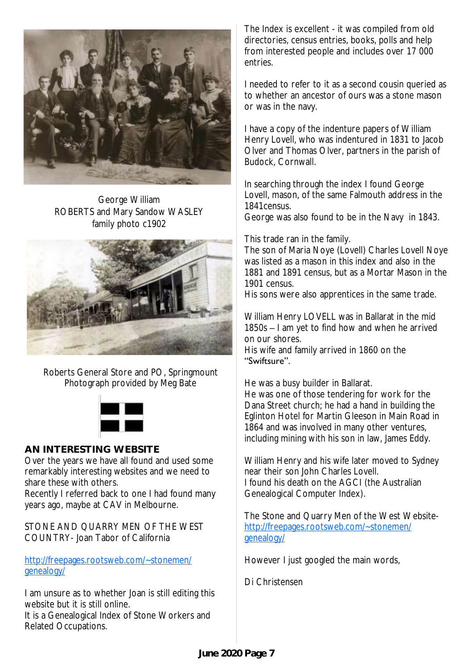

George William ROBERTS and Mary Sandow WASLEY family photo c1902



Roberts General Store and PO, Springmount Photograph provided by Meg Bate



### **AN INTERESTING WEBSITE**

Over the years we have all found and used some remarkably interesting websites and we need to share these with others.

Recently I referred back to one I had found many years ago, maybe at CAV in Melbourne.

STONE AND QUARRY MEN OF THE WEST COUNTRY- Joan Tabor of California

[http://freepages.rootsweb.com/~stonemen/](http://freepages.rootsweb.com/~stonemen/genealogy/) [genealogy/](http://freepages.rootsweb.com/~stonemen/genealogy/)

I am unsure as to whether Joan is still editing this website but it is still online. It is a Genealogical Index of Stone Workers and Related Occupations.

The Index is excellent - it was compiled from old directories, census entries, books, polls and help from interested people and includes over 17 000 entries.

I needed to refer to it as a second cousin queried as to whether an ancestor of ours was a stone mason or was in the navy.

I have a copy of the indenture papers of William Henry Lovell, who was indentured in 1831 to Jacob Olver and Thomas Olver, partners in the parish of Budock, Cornwall.

In searching through the index I found George Lovell, mason, of the same Falmouth address in the 1841census.

George was also found to be in the Navy in 1843.

This trade ran in the family.

The son of Maria Noye (Lovell) Charles Lovell Noye was listed as a mason in this index and also in the 1881 and 1891 census, but as a Mortar Mason in the 1901 census.

His sons were also apprentices in the same trade.

William Henry LOVELL was in Ballarat in the mid 1850s – I am yet to find how and when he arrived on our shores.

His wife and family arrived in 1860 on the "Swiftsure".

He was a busy builder in Ballarat. He was one of those tendering for work for the Dana Street church; he had a hand in building the Eglinton Hotel for Martin Gleeson in Main Road in 1864 and was involved in many other ventures, including mining with his son in law, James Eddy.

William Henry and his wife later moved to Sydney near their son John Charles Lovell. I found his death on the AGCI (the Australian Genealogical Computer Index).

The Stone and Quarry Men of the West Website[http://freepages.rootsweb.com/~stonemen/](http://freepages.rootsweb.com/~stonemen/genealogy/) [genealogy/](http://freepages.rootsweb.com/~stonemen/genealogy/)

However I just googled the main words,

Di Christensen